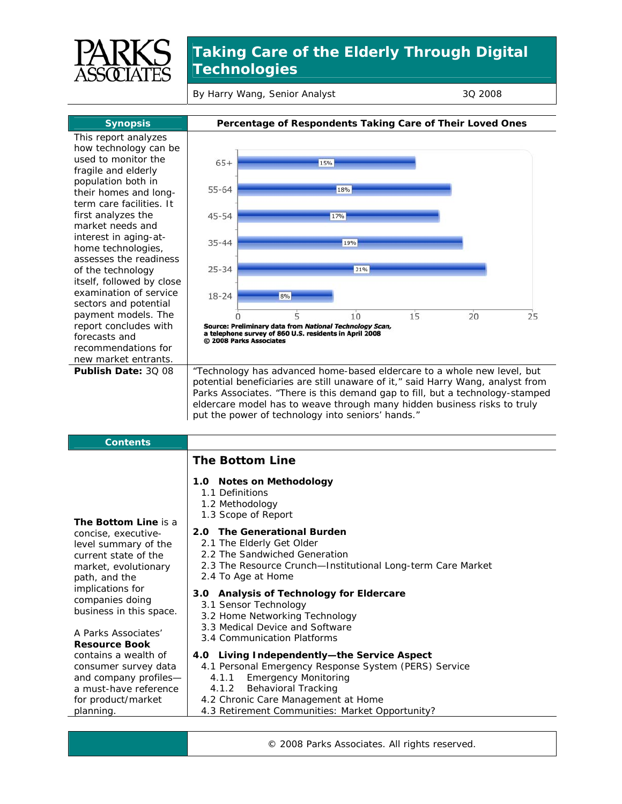

## **Taking Care of the Elderly Through Digital Technologies**

By Harry Wang, Senior Analyst 3Q 2008

This report analyzes how technology can be used to monitor the fragile and elderly population both in their homes and longterm care facilities. It first analyzes the market needs and interest in aging-athome technologies, assesses the readiness of the technology itself, followed by close examination of service sectors and potential payment models. The report concludes with forecasts and recommendations for new market entrants.



**Publish Date:** 3Q 08 <sup>"</sup> Technology has advanced home-based eldercare to a whole new level, but potential beneficiaries are still unaware of it," said Harry Wang, analyst from Parks Associates. "There is this demand gap to fill, but a technology-stamped eldercare model has to weave through many hidden business risks to truly put the power of technology into seniors' hands."

| <b>Contents</b>                                |                                                                                        |
|------------------------------------------------|----------------------------------------------------------------------------------------|
|                                                | <b>The Bottom Line</b>                                                                 |
|                                                | 1.0 Notes on Methodology                                                               |
|                                                | 1.1 Definitions                                                                        |
|                                                | 1.2 Methodology                                                                        |
| The Bottom Line is a                           | 1.3 Scope of Report                                                                    |
| concise, executive-                            | <b>The Generational Burden</b><br>2.0                                                  |
| level summary of the                           | 2.1 The Elderly Get Older                                                              |
| current state of the                           | 2.2 The Sandwiched Generation                                                          |
| market, evolutionary                           | 2.3 The Resource Crunch-Institutional Long-term Care Market                            |
| path, and the                                  | 2.4 To Age at Home                                                                     |
| implications for                               | 3.0 Analysis of Technology for Eldercare                                               |
| companies doing                                | 3.1 Sensor Technology                                                                  |
| business in this space.                        | 3.2 Home Networking Technology                                                         |
|                                                | 3.3 Medical Device and Software                                                        |
| A Parks Associates'                            | 3.4 Communication Platforms                                                            |
| <b>Resource Book</b>                           |                                                                                        |
| contains a wealth of                           | 4.0 Living Independently—the Service Aspect                                            |
| consumer survey data                           | 4.1 Personal Emergency Response System (PERS) Service                                  |
| and company profiles-<br>a must-have reference | <b>Emergency Monitoring</b><br>4.1.1<br>4.1.2                                          |
|                                                | Behavioral Tracking                                                                    |
| for product/market<br>planning.                | 4.2 Chronic Care Management at Home<br>4.3 Retirement Communities: Market Opportunity? |
|                                                |                                                                                        |

© 2008 Parks Associates. All rights reserved.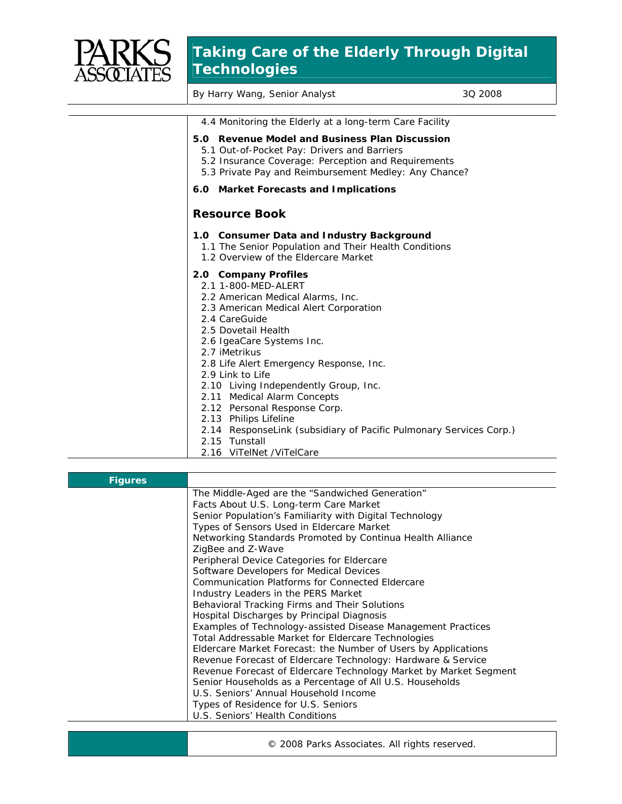

## **Taking Care of the Elderly Through Digital Technologies**

By Harry Wang, Senior Analyst 3Q 2008

|    | 4.4 Monitoring the Elderly at a long-term Care Facility                                                                                                                                                                                                                                                                                                                                                                                                                                                                              |
|----|--------------------------------------------------------------------------------------------------------------------------------------------------------------------------------------------------------------------------------------------------------------------------------------------------------------------------------------------------------------------------------------------------------------------------------------------------------------------------------------------------------------------------------------|
|    | 5.0 Revenue Model and Business Plan Discussion<br>5.1 Out-of-Pocket Pay: Drivers and Barriers<br>5.2 Insurance Coverage: Perception and Requirements<br>5.3 Private Pay and Reimbursement Medley: Any Chance?                                                                                                                                                                                                                                                                                                                        |
|    | 6.0 Market Forecasts and Implications                                                                                                                                                                                                                                                                                                                                                                                                                                                                                                |
|    | <b>Resource Book</b>                                                                                                                                                                                                                                                                                                                                                                                                                                                                                                                 |
|    | 1.0 Consumer Data and Industry Background<br>1.1 The Senior Population and Their Health Conditions<br>1.2 Overview of the Eldercare Market                                                                                                                                                                                                                                                                                                                                                                                           |
|    | 2.0 Company Profiles<br>2.1 1-800-MFD-AI FRT<br>2.2 American Medical Alarms, Inc.<br>2.3 American Medical Alert Corporation<br>2.4 CareGuide<br>2.5 Dovetail Health<br>2.6 IgeaCare Systems Inc.<br>2.7 iMetrikus<br>2.8 Life Alert Emergency Response, Inc.<br>2.9 Link to Life<br>2.10 Living Independently Group, Inc.<br>2.11 Medical Alarm Concepts<br>2.12 Personal Response Corp.<br>2.13 Philips Lifeline<br>2.14 ResponseLink (subsidiary of Pacific Pulmonary Services Corp.)<br>2.15 Tunstall<br>2.16 ViTelNet /ViTelCare |
|    |                                                                                                                                                                                                                                                                                                                                                                                                                                                                                                                                      |
| es |                                                                                                                                                                                                                                                                                                                                                                                                                                                                                                                                      |

| <b>Figures</b> |                                                                   |
|----------------|-------------------------------------------------------------------|
|                | The Middle-Aged are the "Sandwiched Generation"                   |
|                | Facts About U.S. Long-term Care Market                            |
|                | Senior Population's Familiarity with Digital Technology           |
|                | Types of Sensors Used in Eldercare Market                         |
|                | Networking Standards Promoted by Continua Health Alliance         |
|                | ZigBee and Z-Wave                                                 |
|                | Peripheral Device Categories for Eldercare                        |
|                | Software Developers for Medical Devices                           |
|                | Communication Platforms for Connected Eldercare                   |
|                | Industry Leaders in the PERS Market                               |
|                | Behavioral Tracking Firms and Their Solutions                     |
|                | Hospital Discharges by Principal Diagnosis                        |
|                | Examples of Technology-assisted Disease Management Practices      |
|                | Total Addressable Market for Eldercare Technologies               |
|                | Eldercare Market Forecast: the Number of Users by Applications    |
|                | Revenue Forecast of Eldercare Technology: Hardware & Service      |
|                | Revenue Forecast of Eldercare Technology Market by Market Segment |
|                | Senior Households as a Percentage of All U.S. Households          |
|                | U.S. Seniors' Annual Household Income                             |
|                | Types of Residence for U.S. Seniors                               |
|                | U.S. Seniors' Health Conditions                                   |
|                |                                                                   |